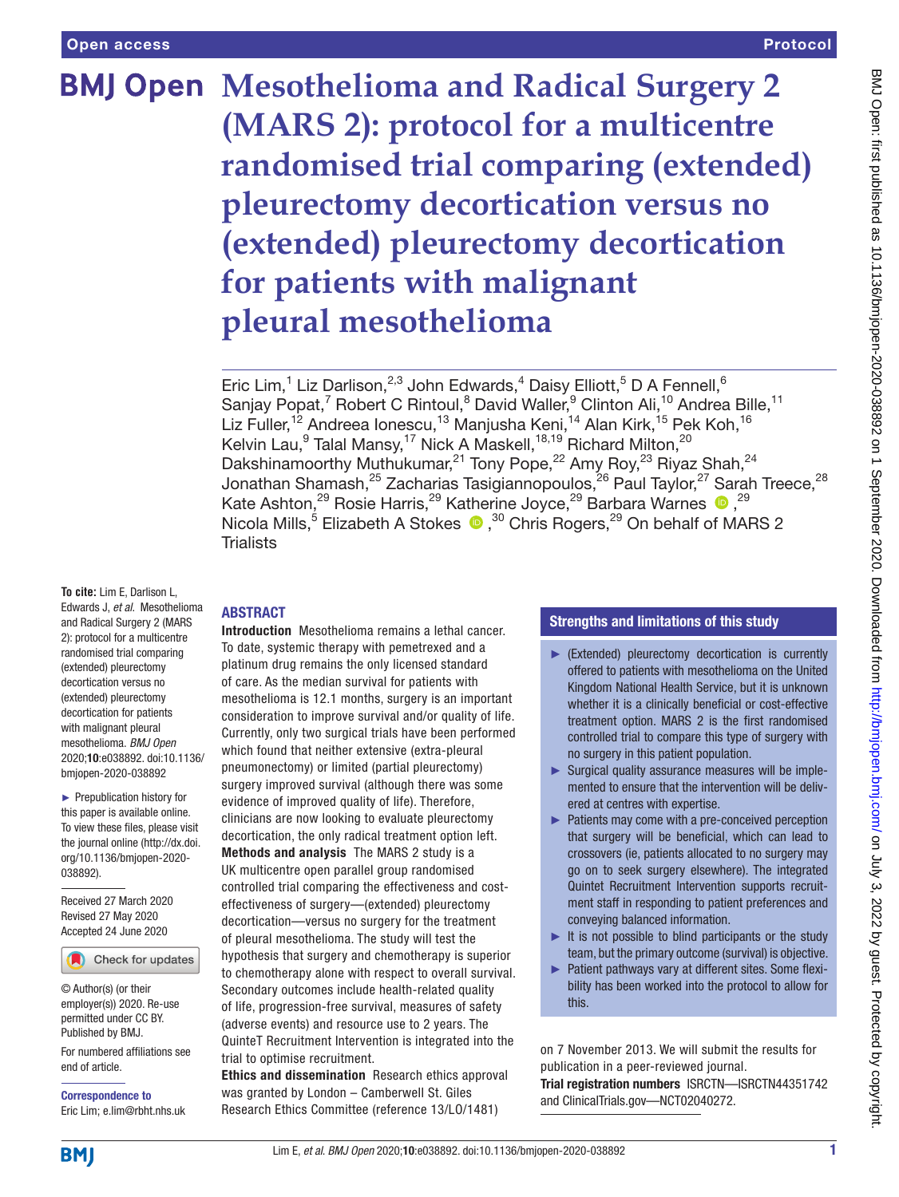# **BMJ Open Mesothelioma and Radical Surgery 2 (MARS 2): protocol for a multicentre randomised trial comparing (extended) pleurectomy decortication versus no (extended) pleurectomy decortication for patients with malignant pleural mesothelioma**

Eric Lim,<sup>1</sup> Liz Darlison,<sup>2,3</sup> John Edwards,<sup>4</sup> Daisy Elliott,<sup>5</sup> D A Fennell,<sup>6</sup> Sanjay Popat,<sup>7</sup> Robert C Rintoul,<sup>8</sup> David Waller,<sup>9</sup> Clinton Ali,<sup>10</sup> Andrea Bille,<sup>11</sup> Liz Fuller,<sup>12</sup> Andreea Ionescu,<sup>13</sup> Manjusha Keni,<sup>14</sup> Alan Kirk,<sup>15</sup> Pek Koh,<sup>16</sup> Kelvin Lau, $^9$  Talal Mansy, $^{17}$  Nick A Maskell, $^{18,19}$  Richard Milton, $^{20}$ Dakshinamoorthy Muthukumar,<sup>21</sup> Tony Pope,<sup>22</sup> Amy Roy,<sup>23</sup> Riyaz Shah,<sup>24</sup> Jonathan Shamash,<sup>25</sup> Zacharias Tasigiannopoulos,<sup>26</sup> Paul Taylor,<sup>27</sup> Sarah Treece,<sup>28</sup> KateAshton,<sup>29</sup> Rosie Harris,<sup>29</sup> Katherine Joyce,<sup>29</sup> Barbara Warnes <sup>19</sup>, <sup>29</sup> Nicola Mills,<sup>5</sup> Elizabeth A Stokes  $\bullet$ ,<sup>30</sup> Chris Rogers,<sup>29</sup> On behalf of MARS 2 **Trialists** 

**To cite:** Lim E, Darlison L, Edwards J, *et al*. Mesothelioma and Radical Surgery 2 (MARS 2): protocol for a multicentre randomised trial comparing (extended) pleurectomy decortication versus no (extended) pleurectomy decortication for patients with malignant pleural mesothelioma. *BMJ Open* 2020;10:e038892. doi:10.1136/ bmjopen-2020-038892

► Prepublication history for this paper is available online. To view these files, please visit the journal online (http://dx.doi. org/10.1136/bmjopen-2020- 038892).

Received 27 March 2020 Revised 27 May 2020 Accepted 24 June 2020

Check for updates

© Author(s) (or their employer(s)) 2020. Re-use permitted under CC BY. Published by BMJ.

For numbered affiliations see end of article.

Correspondence to Eric Lim; e.lim@rbht.nhs.uk

# ABSTRACT

Introduction Mesothelioma remains a lethal cancer. To date, systemic therapy with pemetrexed and a platinum drug remains the only licensed standard of care. As the median survival for patients with mesothelioma is 12.1 months, surgery is an important consideration to improve survival and/or quality of life. Currently, only two surgical trials have been performed which found that neither extensive (extra-pleural pneumonectomy) or limited (partial pleurectomy) surgery improved survival (although there was some evidence of improved quality of life). Therefore, clinicians are now looking to evaluate pleurectomy decortication, the only radical treatment option left. Methods and analysis The MARS 2 study is a UK multicentre open parallel group randomised controlled trial comparing the effectiveness and costeffectiveness of surgery—(extended) pleurectomy decortication—versus no surgery for the treatment of pleural mesothelioma. The study will test the hypothesis that surgery and chemotherapy is superior to chemotherapy alone with respect to overall survival. Secondary outcomes include health-related quality of life, progression-free survival, measures of safety (adverse events) and resource use to 2 years. The QuinteT Recruitment Intervention is integrated into the trial to optimise recruitment.

Ethics and dissemination Research ethics approval was granted by London – Camberwell St. Giles Research Ethics Committee (reference 13/LO/1481)

# Strengths and limitations of this study

- ► (Extended) pleurectomy decortication is currently offered to patients with mesothelioma on the United Kingdom National Health Service, but it is unknown whether it is a clinically beneficial or cost-effective treatment option. MARS 2 is the first randomised controlled trial to compare this type of surgery with no surgery in this patient population.
- ► Surgical quality assurance measures will be implemented to ensure that the intervention will be delivered at centres with expertise.
- ► Patients may come with a pre-conceived perception that surgery will be beneficial, which can lead to crossovers (ie, patients allocated to no surgery may go on to seek surgery elsewhere). The integrated Quintet Recruitment Intervention supports recruitment staff in responding to patient preferences and conveying balanced information.
- $\blacktriangleright$  It is not possible to blind participants or the study team, but the primary outcome (survival) is objective.
- ► Patient pathways vary at different sites. Some flexibility has been worked into the protocol to allow for this.

on 7 November 2013. We will submit the results for publication in a peer-reviewed journal. Trial registration numbers ISRCTN[—ISRCTN44351742](ISRCTN44351742)  and ClinicalTrials.gov[—NCT02040272.](NCT02040272)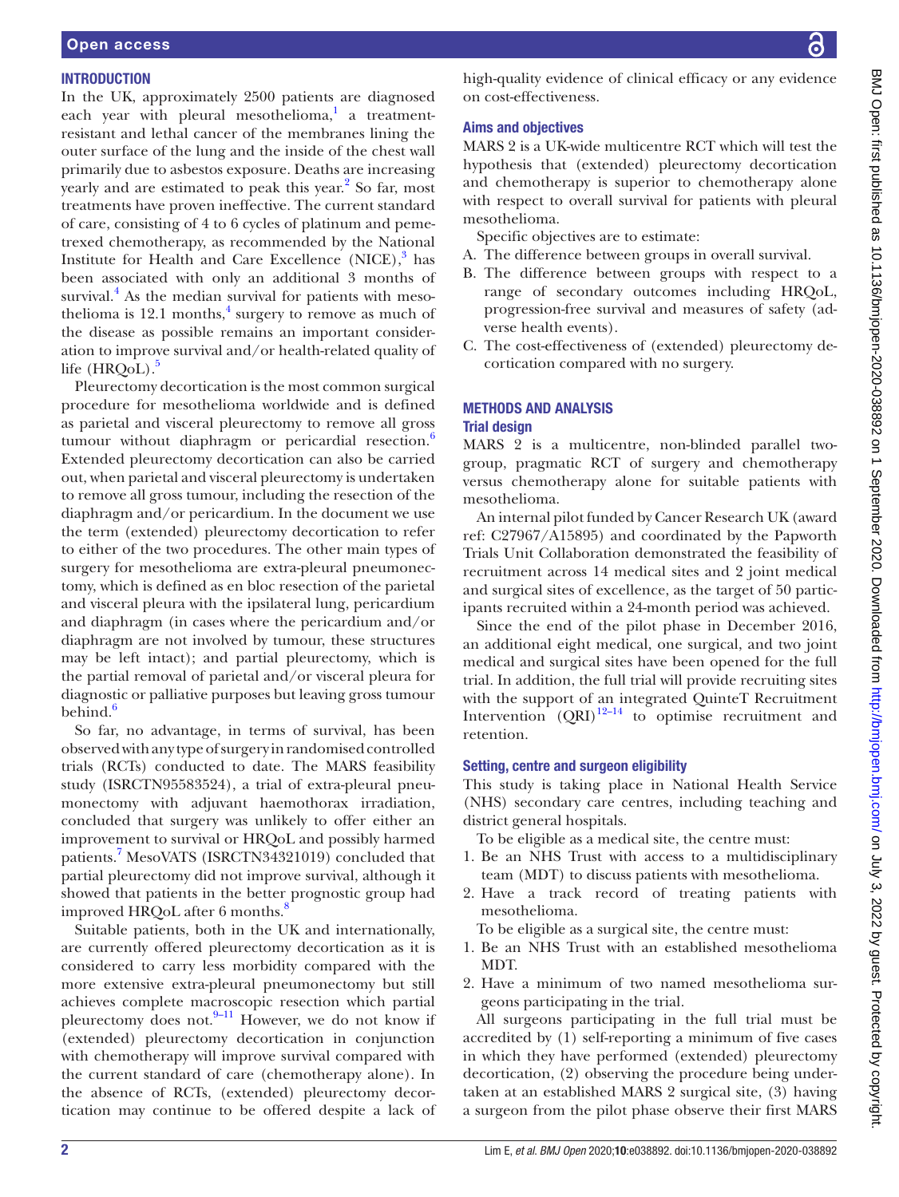# **INTRODUCTION**

In the UK, approximately 2500 patients are diagnosed each year with pleural mesothelioma,<sup>[1](#page-8-0)</sup> a treatmentresistant and lethal cancer of the membranes lining the outer surface of the lung and the inside of the chest wall primarily due to asbestos exposure. Deaths are increasing yearly and are estimated to peak this year.<sup>[2](#page-8-1)</sup> So far, most treatments have proven ineffective. The current standard of care, consisting of 4 to 6 cycles of platinum and pemetrexed chemotherapy, as recommended by the National Institute for Health and Care Excellence  $(NICE)$ ,<sup>3</sup> has been associated with only an additional 3 months of survival.<sup>[4](#page-8-3)</sup> As the median survival for patients with mesothelioma is  $12.1$  months,<sup>[4](#page-8-3)</sup> surgery to remove as much of the disease as possible remains an important consideration to improve survival and/or health-related quality of life  $(HROoL)$ .<sup>[5](#page-8-4)</sup>

Pleurectomy decortication is the most common surgical procedure for mesothelioma worldwide and is defined as parietal and visceral pleurectomy to remove all gross tumour without diaphragm or pericardial resection. $6$ Extended pleurectomy decortication can also be carried out, when parietal and visceral pleurectomy is undertaken to remove all gross tumour, including the resection of the diaphragm and/or pericardium. In the document we use the term (extended) pleurectomy decortication to refer to either of the two procedures. The other main types of surgery for mesothelioma are extra-pleural pneumonectomy, which is defined as en bloc resection of the parietal and visceral pleura with the ipsilateral lung, pericardium and diaphragm (in cases where the pericardium and/or diaphragm are not involved by tumour, these structures may be left intact); and partial pleurectomy, which is the partial removal of parietal and/or visceral pleura for diagnostic or palliative purposes but leaving gross tumour behind.<sup>[6](#page-8-5)</sup>

So far, no advantage, in terms of survival, has been observed with any type of surgery in randomised controlled trials (RCTs) conducted to date. The MARS feasibility study (ISRCTN95583524), a trial of extra-pleural pneumonectomy with adjuvant haemothorax irradiation, concluded that surgery was unlikely to offer either an improvement to survival or HRQoL and possibly harmed patients.<sup>7</sup> MesoVATS (ISRCTN34321019) concluded that partial pleurectomy did not improve survival, although it showed that patients in the better prognostic group had improved HRQoL after 6 months.<sup>[8](#page-8-7)</sup>

Suitable patients, both in the UK and internationally, are currently offered pleurectomy decortication as it is considered to carry less morbidity compared with the more extensive extra-pleural pneumonectomy but still achieves complete macroscopic resection which partial pleurectomy does not. $9-11$  However, we do not know if (extended) pleurectomy decortication in conjunction with chemotherapy will improve survival compared with the current standard of care (chemotherapy alone). In the absence of RCTs, (extended) pleurectomy decortication may continue to be offered despite a lack of high-quality evidence of clinical efficacy or any evidence on cost-effectiveness.

# Aims and objectives

MARS 2 is a UK-wide multicentre RCT which will test the hypothesis that (extended) pleurectomy decortication and chemotherapy is superior to chemotherapy alone with respect to overall survival for patients with pleural mesothelioma.

Specific objectives are to estimate:

- A. The difference between groups in overall survival.
- B. The difference between groups with respect to a range of secondary outcomes including HRQoL, progression-free survival and measures of safety (adverse health events).
- C. The cost-effectiveness of (extended) pleurectomy decortication compared with no surgery.

# METHODS AND ANALYSIS

# Trial design

MARS 2 is a multicentre, non-blinded parallel twogroup, pragmatic RCT of surgery and chemotherapy versus chemotherapy alone for suitable patients with mesothelioma.

An internal pilot funded by Cancer Research UK (award ref: C27967/A15895) and coordinated by the Papworth Trials Unit Collaboration demonstrated the feasibility of recruitment across 14 medical sites and 2 joint medical and surgical sites of excellence, as the target of 50 participants recruited within a 24-month period was achieved.

Since the end of the pilot phase in December 2016, an additional eight medical, one surgical, and two joint medical and surgical sites have been opened for the full trial. In addition, the full trial will provide recruiting sites with the support of an integrated QuinteT Recruitment Intervention  $(QRI)^{12-14}$  to optimise recruitment and retention.

#### Setting, centre and surgeon eligibility

This study is taking place in National Health Service (NHS) secondary care centres, including teaching and district general hospitals.

To be eligible as a medical site, the centre must:

- 1. Be an NHS Trust with access to a multidisciplinary team (MDT) to discuss patients with mesothelioma.
- 2. Have a track record of treating patients with mesothelioma.

To be eligible as a surgical site, the centre must:

- 1. Be an NHS Trust with an established mesothelioma MDT.
- 2. Have a minimum of two named mesothelioma surgeons participating in the trial.

All surgeons participating in the full trial must be accredited by (1) self-reporting a minimum of five cases in which they have performed (extended) pleurectomy decortication, (2) observing the procedure being undertaken at an established MARS 2 surgical site, (3) having a surgeon from the pilot phase observe their first MARS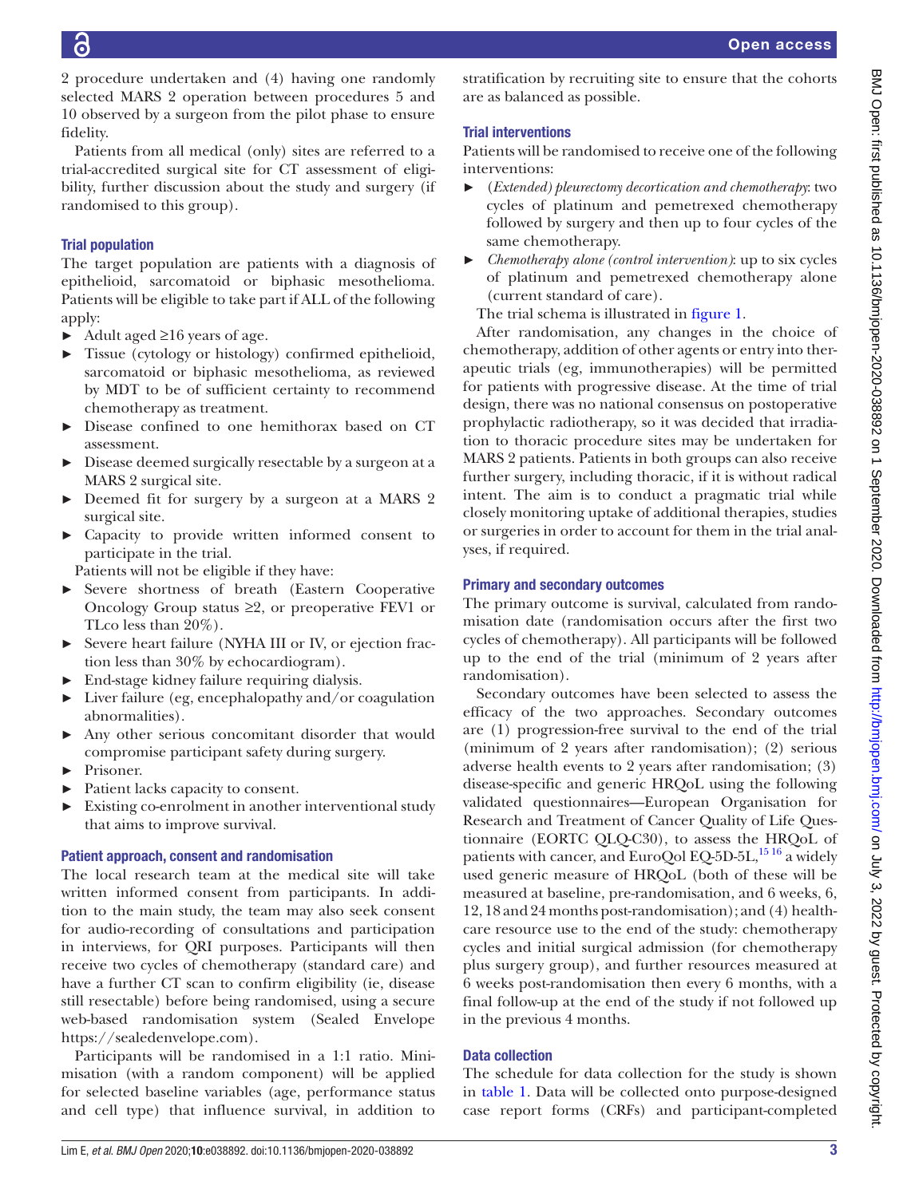2 procedure undertaken and (4) having one randomly selected MARS 2 operation between procedures 5 and 10 observed by a surgeon from the pilot phase to ensure fidelity.

Patients from all medical (only) sites are referred to a trial-accredited surgical site for CT assessment of eligibility, further discussion about the study and surgery (if randomised to this group).

# Trial population

The target population are patients with a diagnosis of epithelioid, sarcomatoid or biphasic mesothelioma. Patients will be eligible to take part if ALL of the following apply:

- $\blacktriangleright$  Adult aged  $\geq 16$  years of age.
- ► Tissue (cytology or histology) confirmed epithelioid, sarcomatoid or biphasic mesothelioma, as reviewed by MDT to be of sufficient certainty to recommend chemotherapy as treatment.
- ► Disease confined to one hemithorax based on CT assessment.
- ► Disease deemed surgically resectable by a surgeon at a MARS 2 surgical site.
- ► Deemed fit for surgery by a surgeon at a MARS 2 surgical site.
- ► Capacity to provide written informed consent to participate in the trial.

Patients will not be eligible if they have:

- ► Severe shortness of breath (Eastern Cooperative Oncology Group status ≥2, or preoperative FEV1 or TLco less than 20%).
- ► Severe heart failure (NYHA III or IV, or ejection fraction less than 30% by echocardiogram).
- ► End-stage kidney failure requiring dialysis.
- ► Liver failure (eg, encephalopathy and/or coagulation abnormalities).
- ► Any other serious concomitant disorder that would compromise participant safety during surgery.
- ► Prisoner.
- Patient lacks capacity to consent.
- ► Existing co-enrolment in another interventional study that aims to improve survival.

# Patient approach, consent and randomisation

The local research team at the medical site will take written informed consent from participants. In addition to the main study, the team may also seek consent for audio-recording of consultations and participation in interviews, for QRI purposes. Participants will then receive two cycles of chemotherapy (standard care) and have a further CT scan to confirm eligibility (ie, disease still resectable) before being randomised, using a secure web-based randomisation system (Sealed Envelope <https://sealedenvelope.com>).

Participants will be randomised in a 1:1 ratio. Minimisation (with a random component) will be applied for selected baseline variables (age, performance status and cell type) that influence survival, in addition to

stratification by recruiting site to ensure that the cohorts are as balanced as possible.

# Trial interventions

Patients will be randomised to receive one of the following interventions:

- ► (*Extended) pleurectomy decortication and chemotherapy*: two cycles of platinum and pemetrexed chemotherapy followed by surgery and then up to four cycles of the same chemotherapy.
- ► *Chemotherapy alone (control intervention)*: up to six cycles of platinum and pemetrexed chemotherapy alone (current standard of care).

The trial schema is illustrated in [figure](#page-3-0) 1.

After randomisation, any changes in the choice of chemotherapy, addition of other agents or entry into therapeutic trials (eg, immunotherapies) will be permitted for patients with progressive disease. At the time of trial design, there was no national consensus on postoperative prophylactic radiotherapy, so it was decided that irradiation to thoracic procedure sites may be undertaken for MARS 2 patients. Patients in both groups can also receive further surgery, including thoracic, if it is without radical intent. The aim is to conduct a pragmatic trial while closely monitoring uptake of additional therapies, studies or surgeries in order to account for them in the trial analyses, if required.

# Primary and secondary outcomes

The primary outcome is survival, calculated from randomisation date (randomisation occurs after the first two cycles of chemotherapy). All participants will be followed up to the end of the trial (minimum of 2 years after randomisation).

Secondary outcomes have been selected to assess the efficacy of the two approaches. Secondary outcomes are (1) progression-free survival to the end of the trial (minimum of 2 years after randomisation); (2) serious adverse health events to 2 years after randomisation; (3) disease-specific and generic HRQoL using the following validated questionnaires—European Organisation for Research and Treatment of Cancer Quality of Life Questionnaire (EORTC QLQ-C30), to assess the HRQoL of patients with cancer, and EuroQol EQ-5D-5L, $^{1516}$  a widely used generic measure of HRQoL (both of these will be measured at baseline, pre-randomisation, and 6 weeks, 6, 12, 18 and 24 months post-randomisation); and (4) healthcare resource use to the end of the study: chemotherapy cycles and initial surgical admission (for chemotherapy plus surgery group), and further resources measured at 6 weeks post-randomisation then every 6 months, with a final follow-up at the end of the study if not followed up in the previous 4 months.

# Data collection

The schedule for data collection for the study is shown in [table](#page-4-0) 1. Data will be collected onto purpose-designed case report forms (CRFs) and participant-completed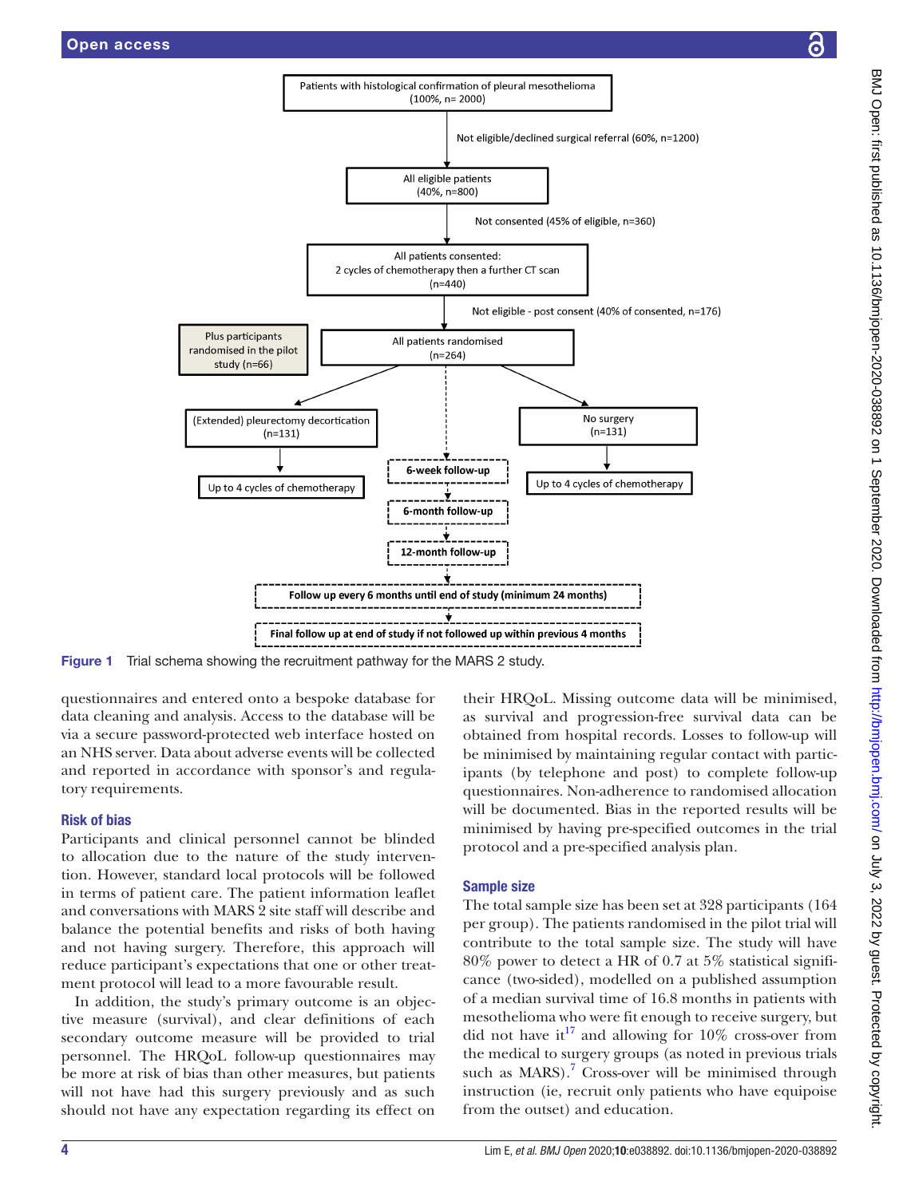

Figure 1 Trial schema showing the recruitment pathway for the MARS 2 study.

questionnaires and entered onto a bespoke database for data cleaning and analysis. Access to the database will be via a secure password-protected web interface hosted on an NHS server. Data about adverse events will be collected and reported in accordance with sponsor's and regulatory requirements.

### Risk of bias

Participants and clinical personnel cannot be blinded to allocation due to the nature of the study intervention. However, standard local protocols will be followed in terms of patient care. The patient information leaflet and conversations with MARS 2 site staff will describe and balance the potential benefits and risks of both having and not having surgery. Therefore, this approach will reduce participant's expectations that one or other treatment protocol will lead to a more favourable result.

In addition, the study's primary outcome is an objective measure (survival), and clear definitions of each secondary outcome measure will be provided to trial personnel. The HRQoL follow-up questionnaires may be more at risk of bias than other measures, but patients will not have had this surgery previously and as such should not have any expectation regarding its effect on

<span id="page-3-0"></span>their HRQoL. Missing outcome data will be minimised, as survival and progression-free survival data can be obtained from hospital records. Losses to follow-up will be minimised by maintaining regular contact with participants (by telephone and post) to complete follow-up questionnaires. Non-adherence to randomised allocation will be documented. Bias in the reported results will be minimised by having pre-specified outcomes in the trial protocol and a pre-specified analysis plan.

# Sample size

The total sample size has been set at 328 participants (164 per group). The patients randomised in the pilot trial will contribute to the total sample size. The study will have 80% power to detect a HR of 0.7 at 5% statistical significance (two-sided), modelled on a published assumption of a median survival time of 16.8 months in patients with mesothelioma who were fit enough to receive surgery, but did not have it<sup>17</sup> and allowing for 10% cross-over from the medical to surgery groups (as noted in previous trials such as  $MARS$ .<sup>[7](#page-8-6)</sup> Cross-over will be minimised through instruction (ie, recruit only patients who have equipoise from the outset) and education.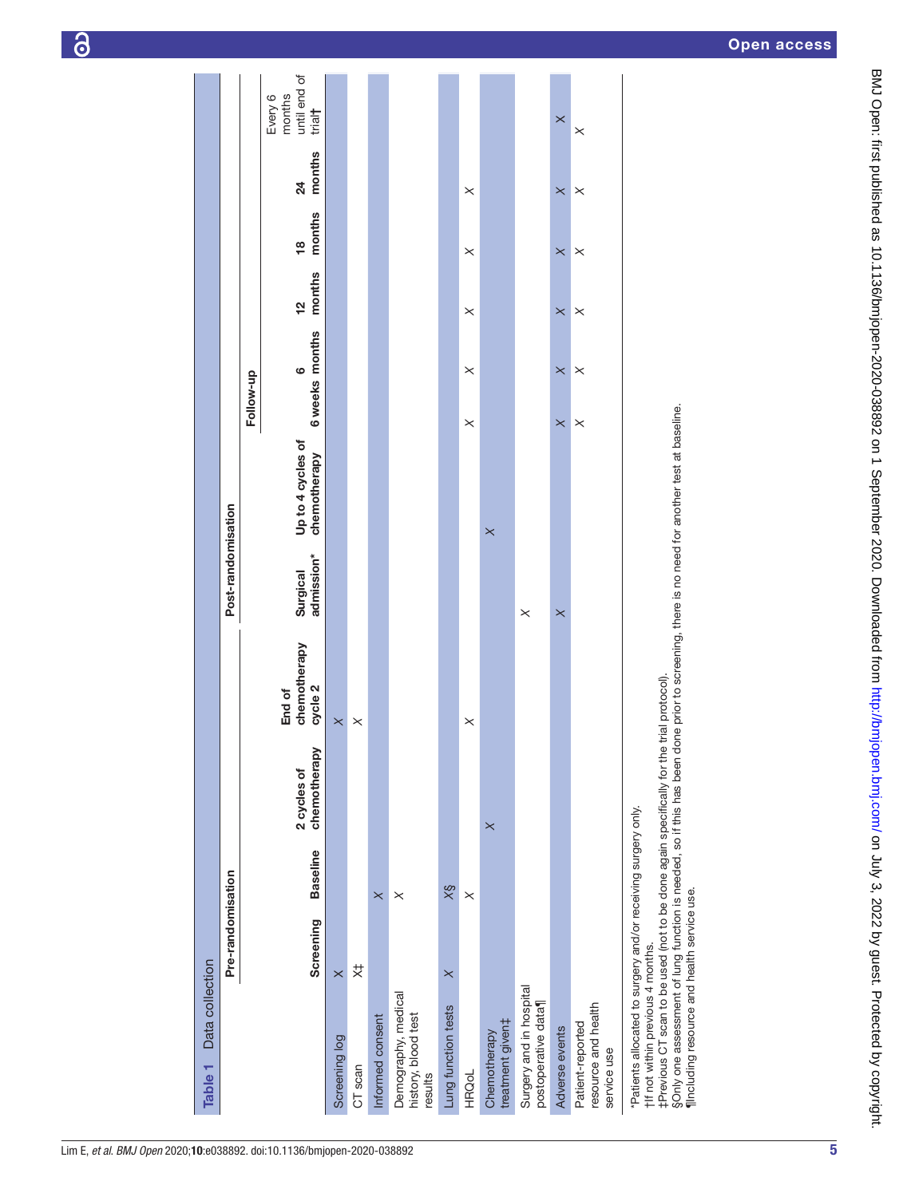<span id="page-4-0"></span>

| Data collection<br>Table <sub>1</sub>                                                                                                                                                                                                                                                                                                                                                         |                   |                 |                             |                                   |                        |                                   |                             |                         |                         |                           |                                             |
|-----------------------------------------------------------------------------------------------------------------------------------------------------------------------------------------------------------------------------------------------------------------------------------------------------------------------------------------------------------------------------------------------|-------------------|-----------------|-----------------------------|-----------------------------------|------------------------|-----------------------------------|-----------------------------|-------------------------|-------------------------|---------------------------|---------------------------------------------|
|                                                                                                                                                                                                                                                                                                                                                                                               | Pre-randomisation |                 |                             |                                   | Post-randomisation     |                                   |                             |                         |                         |                           |                                             |
|                                                                                                                                                                                                                                                                                                                                                                                               |                   |                 |                             |                                   |                        |                                   | Follow-up                   |                         |                         |                           |                                             |
|                                                                                                                                                                                                                                                                                                                                                                                               | Screening         | <b>Baseline</b> | chemotherapy<br>2 cycles of | chemotherapy<br>cycle 2<br>End of | admission*<br>Surgical | Up to 4 cycles of<br>chemotherapy | 6 weeks months<br>$\bullet$ | months<br>$\frac{1}{2}$ | months<br>$\frac{8}{1}$ | months<br>$\overline{24}$ | until end of<br>months<br>Every 6<br>trial† |
| Screening log                                                                                                                                                                                                                                                                                                                                                                                 | $\times$          |                 |                             | $\times$                          |                        |                                   |                             |                         |                         |                           |                                             |
| CT scan                                                                                                                                                                                                                                                                                                                                                                                       | ♯                 |                 |                             | $\times$                          |                        |                                   |                             |                         |                         |                           |                                             |
| Informed consent                                                                                                                                                                                                                                                                                                                                                                              |                   | $\times$        |                             |                                   |                        |                                   |                             |                         |                         |                           |                                             |
| Demography, medical<br>history, blood test<br>results                                                                                                                                                                                                                                                                                                                                         |                   | $\times$        |                             |                                   |                        |                                   |                             |                         |                         |                           |                                             |
| Lung function tests                                                                                                                                                                                                                                                                                                                                                                           | $\times$          | $\frac{8}{2}$   |                             |                                   |                        |                                   |                             |                         |                         |                           |                                             |
| <b>HRQoL</b>                                                                                                                                                                                                                                                                                                                                                                                  |                   | $\times$        |                             | $\times$                          |                        |                                   | $\times$<br>$\times$        | $\times$                | $\times$                | $\times$                  |                                             |
| treatment given‡<br>Chemotherapy                                                                                                                                                                                                                                                                                                                                                              |                   |                 | $\times$                    |                                   |                        | $\times$                          |                             |                         |                         |                           |                                             |
| Surgery and in hospital<br>postoperative data                                                                                                                                                                                                                                                                                                                                                 |                   |                 |                             |                                   | $\times$               |                                   |                             |                         |                         |                           |                                             |
| Adverse events                                                                                                                                                                                                                                                                                                                                                                                |                   |                 |                             |                                   | $\times$               |                                   | $\pmb{\times}$<br>$\times$  | $\times$                | $\times$                | $\times$                  | $\times$                                    |
| resource and health<br>Patient-reported<br>service use                                                                                                                                                                                                                                                                                                                                        |                   |                 |                             |                                   |                        |                                   | $\times$<br>$\times$        | $\times$                | $\times$                | $\times$                  | $\times$                                    |
| SOnly one assessment of lung function is needed, so if this has been done prior to screening, there is no need for another test at baseline.<br>‡Previous CT scan to be used (not to be done again specifically for the trial protocol).<br>*Patients allocated to surgery and/or receiving surgery only.<br>fincluding resource and health service use.<br>tif not within previous 4 months. |                   |                 |                             |                                   |                        |                                   |                             |                         |                         |                           |                                             |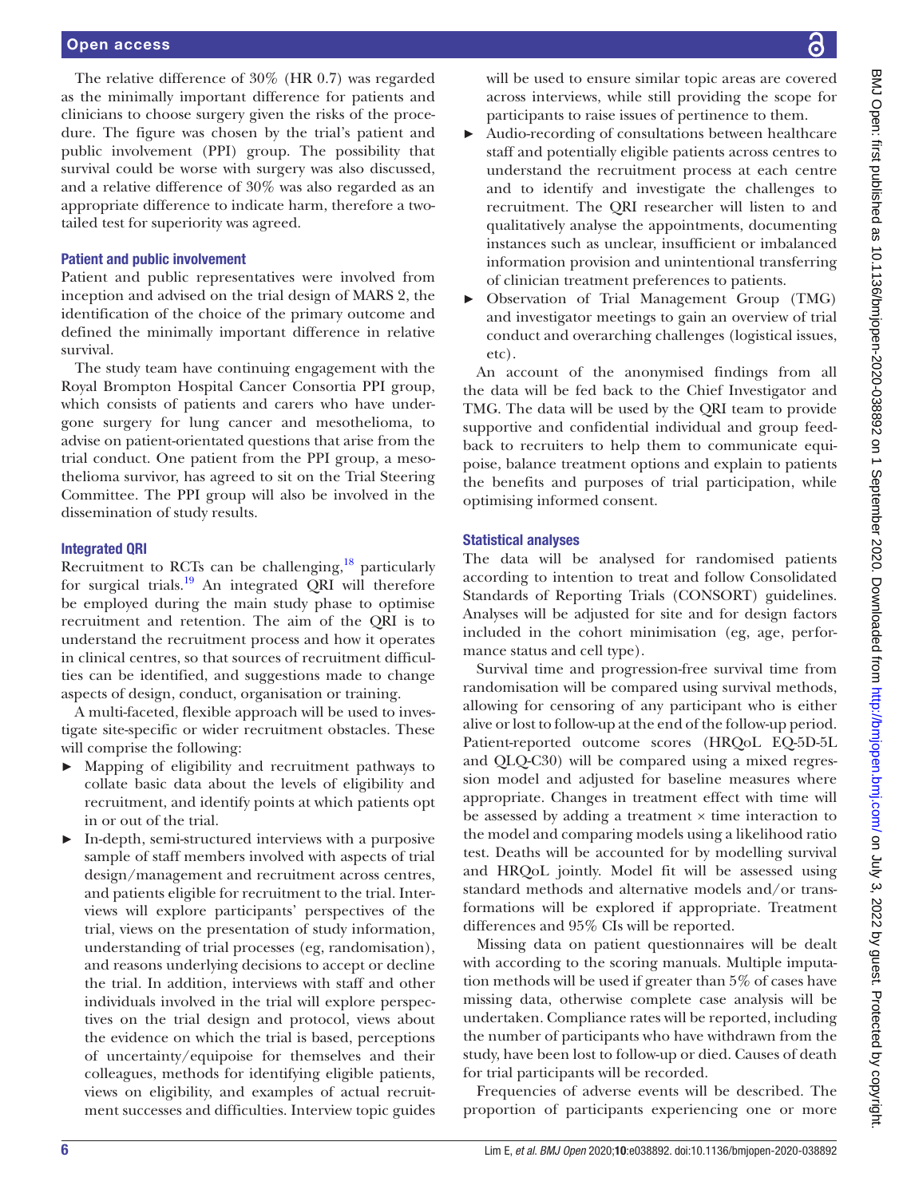#### Open access

The relative difference of 30% (HR 0.7) was regarded as the minimally important difference for patients and clinicians to choose surgery given the risks of the procedure. The figure was chosen by the trial's patient and public involvement (PPI) group. The possibility that survival could be worse with surgery was also discussed, and a relative difference of 30% was also regarded as an appropriate difference to indicate harm, therefore a twotailed test for superiority was agreed.

#### Patient and public involvement

Patient and public representatives were involved from inception and advised on the trial design of MARS 2, the identification of the choice of the primary outcome and defined the minimally important difference in relative survival.

The study team have continuing engagement with the Royal Brompton Hospital Cancer Consortia PPI group, which consists of patients and carers who have undergone surgery for lung cancer and mesothelioma, to advise on patient-orientated questions that arise from the trial conduct. One patient from the PPI group, a mesothelioma survivor, has agreed to sit on the Trial Steering Committee. The PPI group will also be involved in the dissemination of study results.

#### Integrated QRI

Recruitment to RCTs can be challenging, $^{18}$  particularly for surgical trials.<sup>19</sup> An integrated  $\overrightarrow{QRI}$  will therefore be employed during the main study phase to optimise recruitment and retention. The aim of the QRI is to understand the recruitment process and how it operates in clinical centres, so that sources of recruitment difficulties can be identified, and suggestions made to change aspects of design, conduct, organisation or training.

A multi-faceted, flexible approach will be used to investigate site-specific or wider recruitment obstacles. These will comprise the following:

- ► Mapping of eligibility and recruitment pathways to collate basic data about the levels of eligibility and recruitment, and identify points at which patients opt in or out of the trial.
- ► In-depth, semi-structured interviews with a purposive sample of staff members involved with aspects of trial design/management and recruitment across centres, and patients eligible for recruitment to the trial. Interviews will explore participants' perspectives of the trial, views on the presentation of study information, understanding of trial processes (eg, randomisation), and reasons underlying decisions to accept or decline the trial. In addition, interviews with staff and other individuals involved in the trial will explore perspectives on the trial design and protocol, views about the evidence on which the trial is based, perceptions of uncertainty/equipoise for themselves and their colleagues, methods for identifying eligible patients, views on eligibility, and examples of actual recruitment successes and difficulties. Interview topic guides

will be used to ensure similar topic areas are covered across interviews, while still providing the scope for participants to raise issues of pertinence to them.

- ► Audio-recording of consultations between healthcare staff and potentially eligible patients across centres to understand the recruitment process at each centre and to identify and investigate the challenges to recruitment. The QRI researcher will listen to and qualitatively analyse the appointments, documenting instances such as unclear, insufficient or imbalanced information provision and unintentional transferring of clinician treatment preferences to patients.
- ► Observation of Trial Management Group (TMG) and investigator meetings to gain an overview of trial conduct and overarching challenges (logistical issues, etc).

An account of the anonymised findings from all the data will be fed back to the Chief Investigator and TMG. The data will be used by the QRI team to provide supportive and confidential individual and group feedback to recruiters to help them to communicate equipoise, balance treatment options and explain to patients the benefits and purposes of trial participation, while optimising informed consent.

#### Statistical analyses

The data will be analysed for randomised patients according to intention to treat and follow Consolidated Standards of Reporting Trials (CONSORT) guidelines. Analyses will be adjusted for site and for design factors included in the cohort minimisation (eg, age, performance status and cell type).

Survival time and progression-free survival time from randomisation will be compared using survival methods, allowing for censoring of any participant who is either alive or lost to follow-up at the end of the follow-up period. Patient-reported outcome scores (HRQoL EQ-5D-5L and QLQ-C30) will be compared using a mixed regression model and adjusted for baseline measures where appropriate. Changes in treatment effect with time will be assessed by adding a treatment  $\times$  time interaction to the model and comparing models using a likelihood ratio test. Deaths will be accounted for by modelling survival and HRQoL jointly. Model fit will be assessed using standard methods and alternative models and/or transformations will be explored if appropriate. Treatment differences and 95% CIs will be reported.

Missing data on patient questionnaires will be dealt with according to the scoring manuals. Multiple imputation methods will be used if greater than 5% of cases have missing data, otherwise complete case analysis will be undertaken. Compliance rates will be reported, including the number of participants who have withdrawn from the study, have been lost to follow-up or died. Causes of death for trial participants will be recorded.

Frequencies of adverse events will be described. The proportion of participants experiencing one or more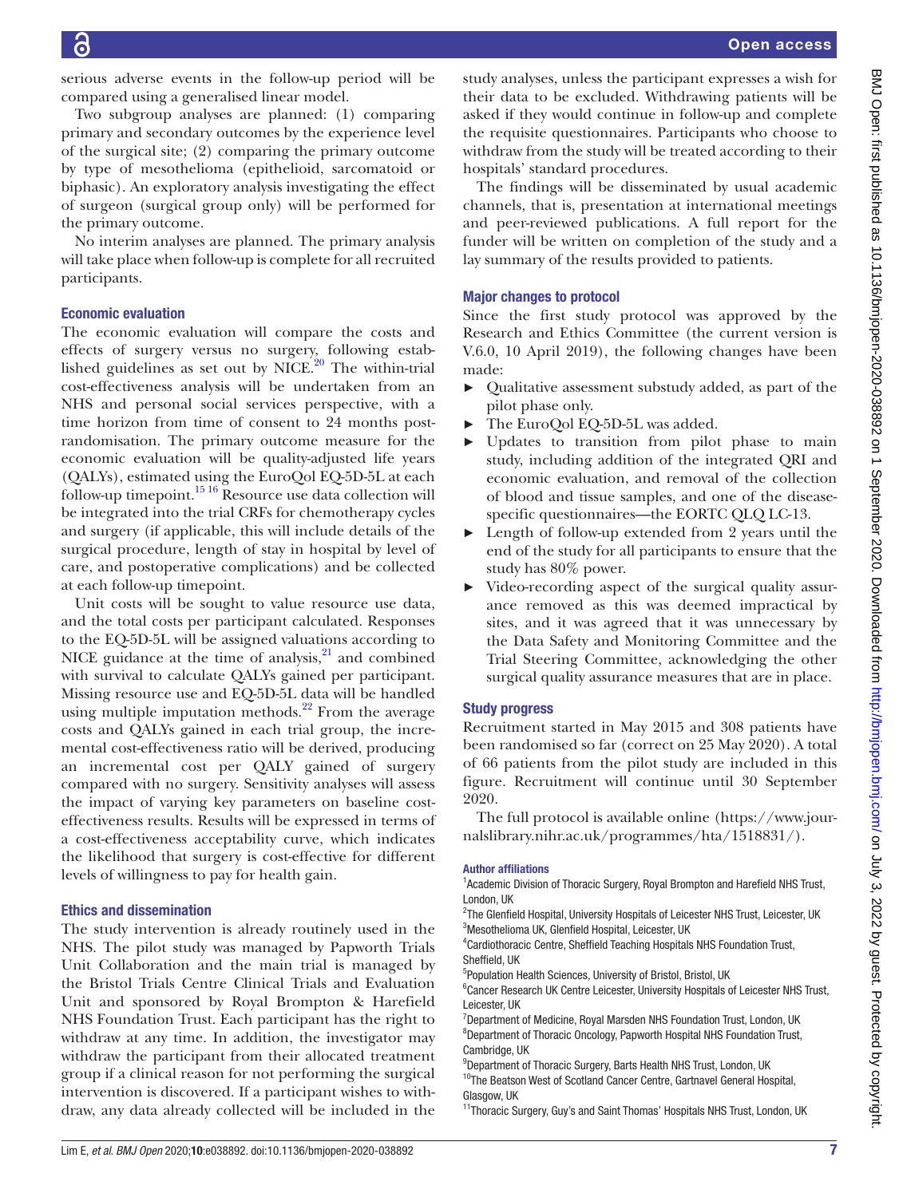serious adverse events in the follow-up period will be compared using a generalised linear model.

Two subgroup analyses are planned: (1) comparing primary and secondary outcomes by the experience level of the surgical site; (2) comparing the primary outcome by type of mesothelioma (epithelioid, sarcomatoid or biphasic). An exploratory analysis investigating the effect of surgeon (surgical group only) will be performed for the primary outcome.

No interim analyses are planned. The primary analysis will take place when follow-up is complete for all recruited participants.

# Economic evaluation

G

The economic evaluation will compare the costs and effects of surgery versus no surgery, following established guidelines as set out by NICE. $^{20}$  The within-trial cost-effectiveness analysis will be undertaken from an NHS and personal social services perspective, with a time horizon from time of consent to 24 months postrandomisation. The primary outcome measure for the economic evaluation will be quality-adjusted life years (QALYs), estimated using the EuroQol EQ-5D-5L at each follow-up timepoint.<sup>15 16</sup> Resource use data collection will be integrated into the trial CRFs for chemotherapy cycles and surgery (if applicable, this will include details of the surgical procedure, length of stay in hospital by level of care, and postoperative complications) and be collected at each follow-up timepoint.

Unit costs will be sought to value resource use data, and the total costs per participant calculated. Responses to the EQ-5D-5L will be assigned valuations according to NICE guidance at the time of analysis, $^{21}$  and combined with survival to calculate QALYs gained per participant. Missing resource use and EQ-5D-5L data will be handled using multiple imputation methods. $^{22}$  From the average costs and QALYs gained in each trial group, the incremental cost-effectiveness ratio will be derived, producing an incremental cost per QALY gained of surgery compared with no surgery. Sensitivity analyses will assess the impact of varying key parameters on baseline costeffectiveness results. Results will be expressed in terms of a cost-effectiveness acceptability curve, which indicates the likelihood that surgery is cost-effective for different levels of willingness to pay for health gain.

### Ethics and dissemination

The study intervention is already routinely used in the NHS. The pilot study was managed by Papworth Trials Unit Collaboration and the main trial is managed by the Bristol Trials Centre Clinical Trials and Evaluation Unit and sponsored by Royal Brompton & Harefield NHS Foundation Trust. Each participant has the right to withdraw at any time. In addition, the investigator may withdraw the participant from their allocated treatment group if a clinical reason for not performing the surgical intervention is discovered. If a participant wishes to withdraw, any data already collected will be included in the

study analyses, unless the participant expresses a wish for their data to be excluded. Withdrawing patients will be asked if they would continue in follow-up and complete the requisite questionnaires. Participants who choose to withdraw from the study will be treated according to their hospitals' standard procedures.

The findings will be disseminated by usual academic channels, that is, presentation at international meetings and peer-reviewed publications. A full report for the funder will be written on completion of the study and a lay summary of the results provided to patients.

# Major changes to protocol

Since the first study protocol was approved by the Research and Ethics Committee (the current version is V.6.0, 10 April 2019), the following changes have been made:

- ► Qualitative assessment substudy added, as part of the pilot phase only.
- The EuroQol EQ-5D-5L was added.
- Updates to transition from pilot phase to main study, including addition of the integrated QRI and economic evaluation, and removal of the collection of blood and tissue samples, and one of the diseasespecific questionnaires—the EORTC QLQ LC-13.
- ► Length of follow-up extended from 2 years until the end of the study for all participants to ensure that the study has 80% power.
- ► Video-recording aspect of the surgical quality assurance removed as this was deemed impractical by sites, and it was agreed that it was unnecessary by the Data Safety and Monitoring Committee and the Trial Steering Committee, acknowledging the other surgical quality assurance measures that are in place.

### Study progress

Recruitment started in May 2015 and 308 patients have been randomised so far (correct on 25 May 2020). A total of 66 patients from the pilot study are included in this figure. Recruitment will continue until 30 September 2020.

The full protocol is available online ([https://www.jour](https://www.journalslibrary.nihr.ac.uk/programmes/hta/1518831/)[nalslibrary.nihr.ac.uk/programmes/hta/1518831/\)](https://www.journalslibrary.nihr.ac.uk/programmes/hta/1518831/).

#### Author affiliations

<sup>1</sup> Academic Division of Thoracic Surgery, Royal Brompton and Harefield NHS Trust, London, UK

- <sup>2</sup>The Glenfield Hospital, University Hospitals of Leicester NHS Trust, Leicester, UK <sup>3</sup>Mesothelioma UK, Glenfield Hospital, Leicester, UK
- 4 Cardiothoracic Centre, Sheffield Teaching Hospitals NHS Foundation Trust, Sheffield, UK
- <sup>5</sup>Population Health Sciences, University of Bristol, Bristol, UK

<sup>6</sup> Cancer Research UK Centre Leicester, University Hospitals of Leicester NHS Trust, Leicester, UK

<sup>7</sup>Department of Medicine, Royal Marsden NHS Foundation Trust, London, UK <sup>8</sup>Department of Thoracic Oncology, Papworth Hospital NHS Foundation Trust, Cambridge, UK

<sup>9</sup>Department of Thoracic Surgery, Barts Health NHS Trust, London, UK

<sup>10</sup>The Beatson West of Scotland Cancer Centre, Gartnavel General Hospital, Glasgow, UK

<sup>11</sup>Thoracic Surgery, Guy's and Saint Thomas' Hospitals NHS Trust, London, UK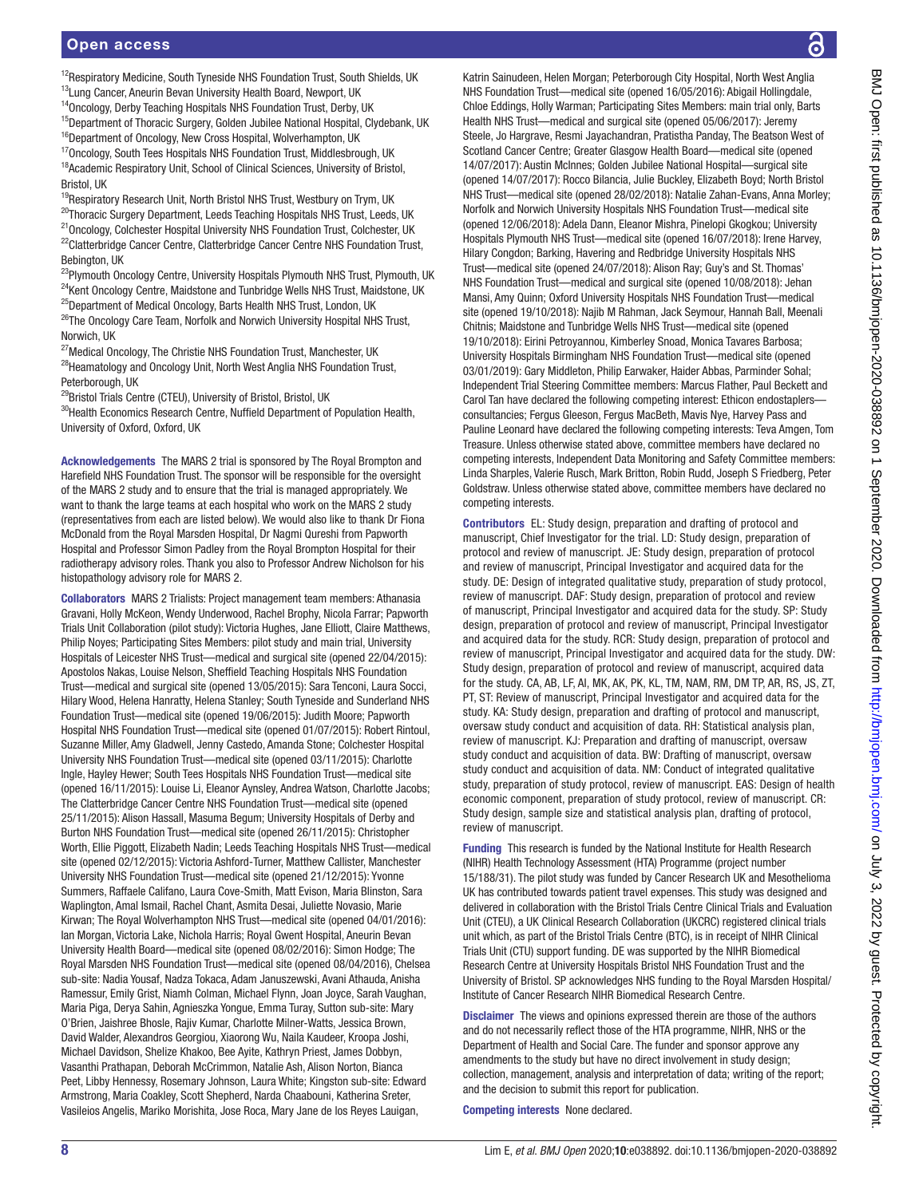<sup>12</sup>Respiratory Medicine, South Tyneside NHS Foundation Trust, South Shields, UK

<sup>13</sup>Lung Cancer, Aneurin Bevan University Health Board, Newport, UK <sup>14</sup>Oncology, Derby Teaching Hospitals NHS Foundation Trust, Derby, UK

<sup>15</sup>Department of Thoracic Surgery, Golden Jubilee National Hospital, Clydebank, UK <sup>16</sup>Department of Oncology, New Cross Hospital, Wolverhampton, UK

<sup>17</sup>Oncology, South Tees Hospitals NHS Foundation Trust, Middlesbrough, UK

<sup>18</sup>Academic Respiratory Unit, School of Clinical Sciences, University of Bristol, Bristol, UK

<sup>19</sup>Respiratory Research Unit, North Bristol NHS Trust, Westbury on Trym, UK <sup>20</sup>Thoracic Surgery Department, Leeds Teaching Hospitals NHS Trust, Leeds, UK <sup>21</sup> Oncology, Colchester Hospital University NHS Foundation Trust, Colchester, UK <sup>22</sup>Clatterbridge Cancer Centre, Clatterbridge Cancer Centre NHS Foundation Trust, Bebington, UK

<sup>23</sup>Plymouth Oncology Centre, University Hospitals Plymouth NHS Trust, Plymouth, UK <sup>24</sup>Kent Oncology Centre, Maidstone and Tunbridge Wells NHS Trust, Maidstone, UK <sup>25</sup>Department of Medical Oncology, Barts Health NHS Trust, London, UK <sup>26</sup>The Oncology Care Team, Norfolk and Norwich University Hospital NHS Trust,

Norwich, UK

<sup>27</sup> Medical Oncology, The Christie NHS Foundation Trust, Manchester, UK <sup>28</sup>Heamatology and Oncology Unit, North West Anglia NHS Foundation Trust, Peterborough, UK

<sup>29</sup>Bristol Trials Centre (CTEU), University of Bristol, Bristol, UK

<sup>30</sup> Health Economics Research Centre, Nuffield Department of Population Health, University of Oxford, Oxford, UK

Acknowledgements The MARS 2 trial is sponsored by The Royal Brompton and Harefield NHS Foundation Trust. The sponsor will be responsible for the oversight of the MARS 2 study and to ensure that the trial is managed appropriately. We want to thank the large teams at each hospital who work on the MARS 2 study (representatives from each are listed below). We would also like to thank Dr Fiona McDonald from the Royal Marsden Hospital, Dr Nagmi Qureshi from Papworth Hospital and Professor Simon Padley from the Royal Brompton Hospital for their radiotherapy advisory roles. Thank you also to Professor Andrew Nicholson for his histopathology advisory role for MARS 2.

Collaborators MARS 2 Trialists: Project management team members: Athanasia Gravani, Holly McKeon, Wendy Underwood, Rachel Brophy, Nicola Farrar; Papworth Trials Unit Collaboration (pilot study): Victoria Hughes, Jane Elliott, Claire Matthews, Philip Noyes; Participating Sites Members: pilot study and main trial, University Hospitals of Leicester NHS Trust—medical and surgical site (opened 22/04/2015): Apostolos Nakas, Louise Nelson, Sheffield Teaching Hospitals NHS Foundation Trust—medical and surgical site (opened 13/05/2015): Sara Tenconi, Laura Socci, Hilary Wood, Helena Hanratty, Helena Stanley; South Tyneside and Sunderland NHS Foundation Trust—medical site (opened 19/06/2015): Judith Moore; Papworth Hospital NHS Foundation Trust—medical site (opened 01/07/2015): Robert Rintoul, Suzanne Miller, Amy Gladwell, Jenny Castedo, Amanda Stone; Colchester Hospital University NHS Foundation Trust—medical site (opened 03/11/2015): Charlotte Ingle, Hayley Hewer; South Tees Hospitals NHS Foundation Trust—medical site (opened 16/11/2015): Louise Li, Eleanor Aynsley, Andrea Watson, Charlotte Jacobs; The Clatterbridge Cancer Centre NHS Foundation Trust—medical site (opened 25/11/2015): Alison Hassall, Masuma Begum; University Hospitals of Derby and Burton NHS Foundation Trust—medical site (opened 26/11/2015): Christopher Worth, Ellie Piggott, Elizabeth Nadin; Leeds Teaching Hospitals NHS Trust—medical site (opened 02/12/2015): Victoria Ashford-Turner, Matthew Callister, Manchester University NHS Foundation Trust—medical site (opened 21/12/2015): Yvonne Summers, Raffaele Califano, Laura Cove-Smith, Matt Evison, Maria Blinston, Sara Waplington, Amal Ismail, Rachel Chant, Asmita Desai, Juliette Novasio, Marie Kirwan; The Royal Wolverhampton NHS Trust—medical site (opened 04/01/2016): Ian Morgan, Victoria Lake, Nichola Harris; Royal Gwent Hospital, Aneurin Bevan University Health Board—medical site (opened 08/02/2016): Simon Hodge; The Royal Marsden NHS Foundation Trust—medical site (opened 08/04/2016), Chelsea sub-site: Nadia Yousaf, Nadza Tokaca, Adam Januszewski, Avani Athauda, Anisha Ramessur, Emily Grist, Niamh Colman, Michael Flynn, Joan Joyce, Sarah Vaughan, Maria Piga, Derya Sahin, Agnieszka Yongue, Emma Turay, Sutton sub-site: Mary O'Brien, Jaishree Bhosle, Rajiv Kumar, Charlotte Milner-Watts, Jessica Brown, David Walder, Alexandros Georgiou, Xiaorong Wu, Naila Kaudeer, Kroopa Joshi, Michael Davidson, Shelize Khakoo, Bee Ayite, Kathryn Priest, James Dobbyn, Vasanthi Prathapan, Deborah McCrimmon, Natalie Ash, Alison Norton, Bianca Peet, Libby Hennessy, Rosemary Johnson, Laura White; Kingston sub-site: Edward Armstrong, Maria Coakley, Scott Shepherd, Narda Chaabouni, Katherina Sreter, Vasileios Angelis, Mariko Morishita, Jose Roca, Mary Jane de los Reyes Lauigan,

Katrin Sainudeen, Helen Morgan; Peterborough City Hospital, North West Anglia NHS Foundation Trust—medical site (opened 16/05/2016): Abigail Hollingdale, Chloe Eddings, Holly Warman; Participating Sites Members: main trial only, Barts Health NHS Trust—medical and surgical site (opened 05/06/2017): Jeremy Steele, Jo Hargrave, Resmi Jayachandran, Pratistha Panday, The Beatson West of Scotland Cancer Centre; Greater Glasgow Health Board—medical site (opened 14/07/2017): Austin McInnes; Golden Jubilee National Hospital—surgical site (opened 14/07/2017): Rocco Bilancia, Julie Buckley, Elizabeth Boyd; North Bristol NHS Trust—medical site (opened 28/02/2018): Natalie Zahan-Evans, Anna Morley; Norfolk and Norwich University Hospitals NHS Foundation Trust—medical site (opened 12/06/2018): Adela Dann, Eleanor Mishra, Pinelopi Gkogkou; University Hospitals Plymouth NHS Trust—medical site (opened 16/07/2018): Irene Harvey, Hilary Congdon; Barking, Havering and Redbridge University Hospitals NHS Trust—medical site (opened 24/07/2018): Alison Ray; Guy's and St. Thomas' NHS Foundation Trust—medical and surgical site (opened 10/08/2018): Jehan Mansi, Amy Quinn; Oxford University Hospitals NHS Foundation Trust—medical site (opened 19/10/2018): Najib M Rahman, Jack Seymour, Hannah Ball, Meenali Chitnis; Maidstone and Tunbridge Wells NHS Trust—medical site (opened 19/10/2018): Eirini Petroyannou, Kimberley Snoad, Monica Tavares Barbosa; University Hospitals Birmingham NHS Foundation Trust—medical site (opened 03/01/2019): Gary Middleton, Philip Earwaker, Haider Abbas, Parminder Sohal; Independent Trial Steering Committee members: Marcus Flather, Paul Beckett and Carol Tan have declared the following competing interest: Ethicon endostaplers consultancies; Fergus Gleeson, Fergus MacBeth, Mavis Nye, Harvey Pass and Pauline Leonard have declared the following competing interests: Teva Amgen, Tom Treasure. Unless otherwise stated above, committee members have declared no competing interests, Independent Data Monitoring and Safety Committee members: Linda Sharples, Valerie Rusch, Mark Britton, Robin Rudd, Joseph S Friedberg, Peter Goldstraw. Unless otherwise stated above, committee members have declared no competing interests.

Contributors EL: Study design, preparation and drafting of protocol and manuscript, Chief Investigator for the trial. LD: Study design, preparation of protocol and review of manuscript. JE: Study design, preparation of protocol and review of manuscript, Principal Investigator and acquired data for the study. DE: Design of integrated qualitative study, preparation of study protocol, review of manuscript. DAF: Study design, preparation of protocol and review of manuscript, Principal Investigator and acquired data for the study. SP: Study design, preparation of protocol and review of manuscript, Principal Investigator and acquired data for the study. RCR: Study design, preparation of protocol and review of manuscript, Principal Investigator and acquired data for the study. DW: Study design, preparation of protocol and review of manuscript, acquired data for the study. CA, AB, LF, AI, MK, AK, PK, KL, TM, NAM, RM, DM TP, AR, RS, JS, ZT, PT, ST: Review of manuscript, Principal Investigator and acquired data for the study. KA: Study design, preparation and drafting of protocol and manuscript, oversaw study conduct and acquisition of data. RH: Statistical analysis plan, review of manuscript. KJ: Preparation and drafting of manuscript, oversaw study conduct and acquisition of data. BW: Drafting of manuscript, oversaw study conduct and acquisition of data. NM: Conduct of integrated qualitative study, preparation of study protocol, review of manuscript. EAS: Design of health economic component, preparation of study protocol, review of manuscript. CR: Study design, sample size and statistical analysis plan, drafting of protocol, review of manuscript.

Funding This research is funded by the National Institute for Health Research (NIHR) Health Technology Assessment (HTA) Programme (project number 15/188/31). The pilot study was funded by Cancer Research UK and Mesothelioma UK has contributed towards patient travel expenses. This study was designed and delivered in collaboration with the Bristol Trials Centre Clinical Trials and Evaluation Unit (CTEU), a UK Clinical Research Collaboration (UKCRC) registered clinical trials unit which, as part of the Bristol Trials Centre (BTC), is in receipt of NIHR Clinical Trials Unit (CTU) support funding. DE was supported by the NIHR Biomedical Research Centre at University Hospitals Bristol NHS Foundation Trust and the University of Bristol. SP acknowledges NHS funding to the Royal Marsden Hospital/ Institute of Cancer Research NIHR Biomedical Research Centre.

Disclaimer The views and opinions expressed therein are those of the authors and do not necessarily reflect those of the HTA programme, NIHR, NHS or the Department of Health and Social Care. The funder and sponsor approve any amendments to the study but have no direct involvement in study design; collection, management, analysis and interpretation of data; writing of the report; and the decision to submit this report for publication.

Competing interests None declared.